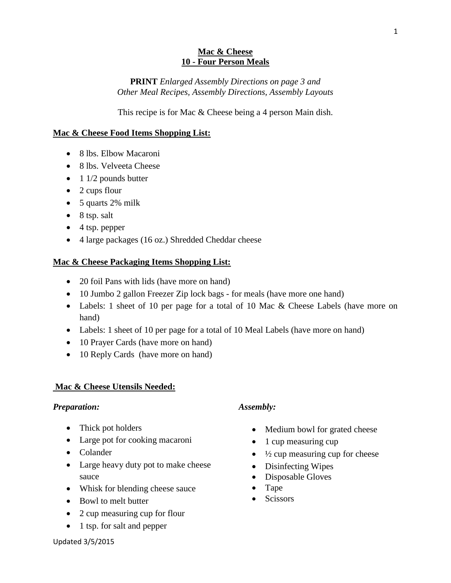#### **Mac & Cheese 10 - Four Person Meals**

## **PRINT** *Enlarged Assembly Directions on page 3 and Other Meal Recipes, Assembly Directions, Assembly Layouts*

This recipe is for Mac & Cheese being a 4 person Main dish.

## **Mac & Cheese Food Items Shopping List:**

- 8 lbs. Elbow Macaroni
- 8 lbs. Velveeta Cheese
- $\bullet$  1 1/2 pounds butter
- 2 cups flour
- 5 quarts 2% milk
- $\bullet$  8 tsp. salt
- $\bullet$  4 tsp. pepper
- 4 large packages (16 oz.) Shredded Cheddar cheese

### **Mac & Cheese Packaging Items Shopping List:**

- 20 foil Pans with lids (have more on hand)
- 10 Jumbo 2 gallon Freezer Zip lock bags for meals (have more one hand)
- Labels: 1 sheet of 10 per page for a total of 10 Mac & Cheese Labels (have more on hand)
- Labels: 1 sheet of 10 per page for a total of 10 Meal Labels (have more on hand)
- 10 Prayer Cards (have more on hand)
- 10 Reply Cards (have more on hand)

## **Mac & Cheese Utensils Needed:**

#### *Preparation:*

- Thick pot holders
- Large pot for cooking macaroni
- Colander
- Large heavy duty pot to make cheese sauce
- Whisk for blending cheese sauce
- Bowl to melt butter
- 2 cup measuring cup for flour
- 1 tsp. for salt and pepper

## *Assembly:*

- Medium bowl for grated cheese
- $\bullet$  1 cup measuring cup
- $\bullet$   $\frac{1}{2}$  cup measuring cup for cheese
- Disinfecting Wipes
- Disposable Gloves
- Tape
- **Scissors**

Updated 3/5/2015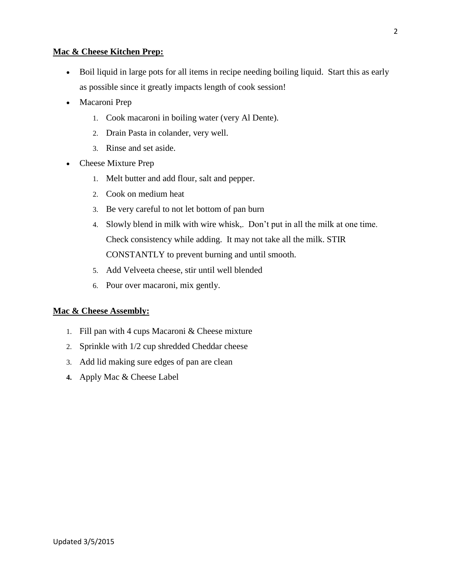#### **Mac & Cheese Kitchen Prep:**

- Boil liquid in large pots for all items in recipe needing boiling liquid. Start this as early as possible since it greatly impacts length of cook session!
- Macaroni Prep
	- 1. Cook macaroni in boiling water (very Al Dente).
	- 2. Drain Pasta in colander, very well.
	- 3. Rinse and set aside.
- Cheese Mixture Prep
	- 1. Melt butter and add flour, salt and pepper.
	- 2. Cook on medium heat
	- 3. Be very careful to not let bottom of pan burn
	- 4. Slowly blend in milk with wire whisk,. Don't put in all the milk at one time. Check consistency while adding. It may not take all the milk. STIR CONSTANTLY to prevent burning and until smooth.
	- 5. Add Velveeta cheese, stir until well blended
	- 6. Pour over macaroni, mix gently.

#### **Mac & Cheese Assembly:**

- 1. Fill pan with 4 cups Macaroni & Cheese mixture
- 2. Sprinkle with 1/2 cup shredded Cheddar cheese
- 3. Add lid making sure edges of pan are clean
- **4.** Apply Mac & Cheese Label